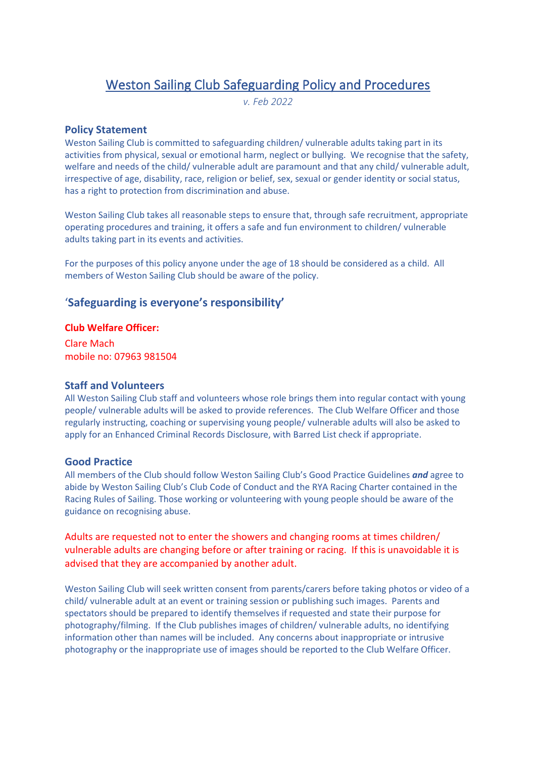# Weston Sailing Club Safeguarding Policy and Procedures

*v. Feb 2022*

#### **Policy Statement**

Weston Sailing Club is committed to safeguarding children/ vulnerable adults taking part in its activities from physical, sexual or emotional harm, neglect or bullying. We recognise that the safety, welfare and needs of the child/ vulnerable adult are paramount and that any child/ vulnerable adult, irrespective of age, disability, race, religion or belief, sex, sexual or gender identity or social status, has a right to protection from discrimination and abuse.

Weston Sailing Club takes all reasonable steps to ensure that, through safe recruitment, appropriate operating procedures and training, it offers a safe and fun environment to children/ vulnerable adults taking part in its events and activities.

For the purposes of this policy anyone under the age of 18 should be considered as a child. All members of Weston Sailing Club should be aware of the policy.

### '**Safeguarding is everyone's responsibility'**

#### **Club Welfare Officer:**

Clare Mach mobile no: 07963 981504

#### **Staff and Volunteers**

All Weston Sailing Club staff and volunteers whose role brings them into regular contact with young people/ vulnerable adults will be asked to provide references. The Club Welfare Officer and those regularly instructing, coaching or supervising young people/ vulnerable adults will also be asked to apply for an Enhanced Criminal Records Disclosure, with Barred List check if appropriate.

#### **Good Practice**

All members of the Club should follow Weston Sailing Club's Good Practice Guidelines *and* agree to abide by Weston Sailing Club's Club Code of Conduct and the RYA Racing Charter contained in the Racing Rules of Sailing. Those working or volunteering with young people should be aware of the guidance on recognising abuse.

Adults are requested not to enter the showers and changing rooms at times children/ vulnerable adults are changing before or after training or racing. If this is unavoidable it is advised that they are accompanied by another adult.

Weston Sailing Club will seek written consent from parents/carers before taking photos or video of a child/ vulnerable adult at an event or training session or publishing such images. Parents and spectators should be prepared to identify themselves if requested and state their purpose for photography/filming. If the Club publishes images of children/ vulnerable adults, no identifying information other than names will be included. Any concerns about inappropriate or intrusive photography or the inappropriate use of images should be reported to the Club Welfare Officer.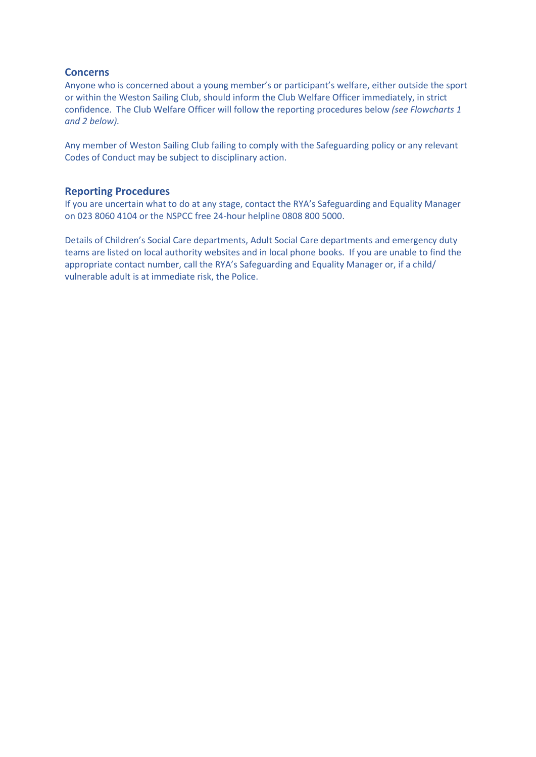#### **Concerns**

Anyone who is concerned about a young member's or participant's welfare, either outside the sport or within the Weston Sailing Club, should inform the Club Welfare Officer immediately, in strict confidence. The Club Welfare Officer will follow the reporting procedures below *(see Flowcharts 1 and 2 below).*

Any member of Weston Sailing Club failing to comply with the Safeguarding policy or any relevant Codes of Conduct may be subject to disciplinary action.

#### **Reporting Procedures**

If you are uncertain what to do at any stage, contact the RYA's Safeguarding and Equality Manager on 023 8060 4104 or the NSPCC free 24-hour helpline 0808 800 5000.

Details of Children's Social Care departments, Adult Social Care departments and emergency duty teams are listed on local authority websites and in local phone books. If you are unable to find the appropriate contact number, call the RYA's Safeguarding and Equality Manager or, if a child/ vulnerable adult is at immediate risk, the Police.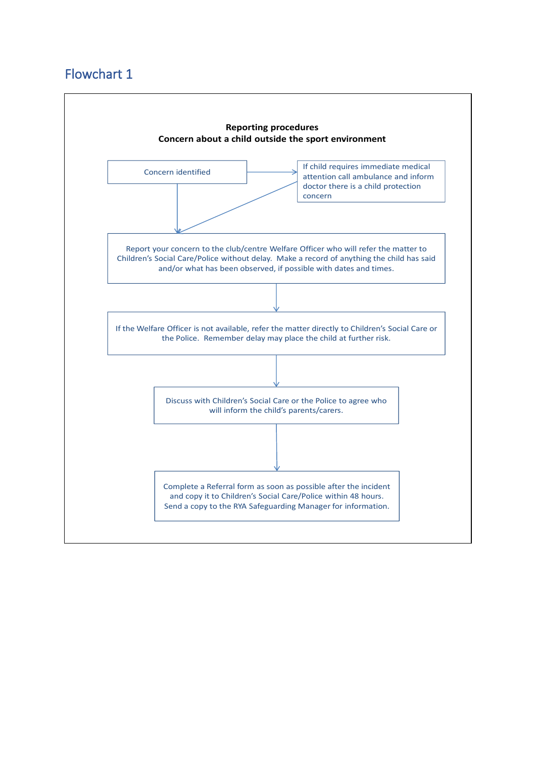## Flowchart 1